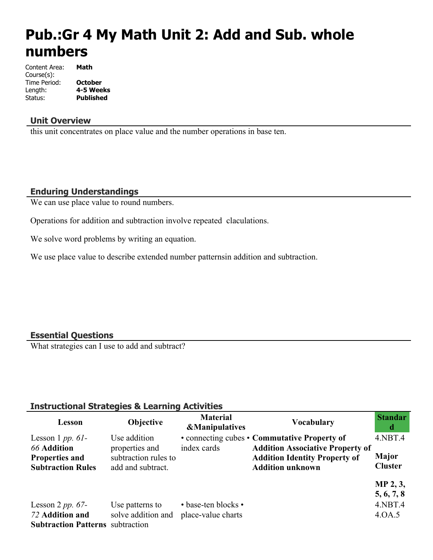# **Pub.:Gr 4 My Math Unit 2: Add and Sub. whole numbers**

| Content Area: | Math             |
|---------------|------------------|
| Course(s):    |                  |
| Time Period:  | <b>October</b>   |
| Length:       | 4-5 Weeks        |
| Status:       | <b>Published</b> |

#### **Unit Overview**

this unit concentrates on place value and the number operations in base ten.

### **Enduring Understandings**

We can use place value to round numbers.

Operations for addition and subtraction involve repeated claculations.

We solve word problems by writing an equation.

We use place value to describe extended number patternsin addition and subtraction.

#### **Essential Questions**

What strategies can I use to add and subtract?

## **Instructional Strategies & Learning Activities**

| Lesson                                                                                         | Objective                                                                   | <b>Material</b><br><b>&amp;Manipulatives</b> | <b>Vocabulary</b>                                                                                                                                          | <b>Standar</b><br>d                               |
|------------------------------------------------------------------------------------------------|-----------------------------------------------------------------------------|----------------------------------------------|------------------------------------------------------------------------------------------------------------------------------------------------------------|---------------------------------------------------|
| Lesson 1 $pp. 61$ -<br><b>66 Addition</b><br><b>Properties and</b><br><b>Subtraction Rules</b> | Use addition<br>properties and<br>subtraction rules to<br>add and subtract. | index cards                                  | • connecting cubes • Commutative Property of<br><b>Addition Associative Property of</b><br><b>Addition Identity Property of</b><br><b>Addition unknown</b> | $4.$ NBT $.4$<br><b>Major</b><br><b>Cluster</b>   |
| Lesson 2 pp. $67-$<br>72 Addition and<br><b>Subtraction Patterns</b> subtraction               | Use patterns to<br>solve addition and                                       | • base-ten blocks •<br>place-value charts    |                                                                                                                                                            | MP 2, 3,<br>5, 6, 7, 8<br>$4.$ NBT $.4$<br>4.0A.5 |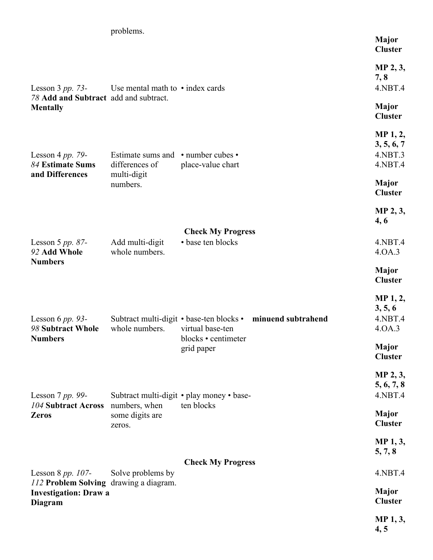|                                                                                   | problems.                                                  |                                               | <b>Major</b><br><b>Cluster</b>                  |
|-----------------------------------------------------------------------------------|------------------------------------------------------------|-----------------------------------------------|-------------------------------------------------|
| Lesson $3 pp. 73-$<br>78 Add and Subtract add and subtract.                       | Use mental math to $\cdot$ index cards                     |                                               | MP 2, 3,<br>7, 8<br>4.NBT.4                     |
| <b>Mentally</b>                                                                   |                                                            |                                               | <b>Major</b><br><b>Cluster</b>                  |
| Lesson 4 pp. 79-<br>84 Estimate Sums                                              | Estimate sums and • number cubes •<br>differences of       | place-value chart                             | MP 1, 2,<br>3, 5, 6, 7<br>4.NBT.3<br>4.NBT.4    |
| and Differences                                                                   | multi-digit<br>numbers.                                    |                                               | <b>Major</b><br><b>Cluster</b>                  |
|                                                                                   |                                                            |                                               | MP 2, 3,<br>4,6                                 |
|                                                                                   |                                                            | <b>Check My Progress</b><br>• base ten blocks | 4.NBT.4                                         |
| Lesson 5 pp. $87-$<br>92 Add Whole                                                | Add multi-digit<br>whole numbers.                          |                                               | 4.0A.3                                          |
| <b>Numbers</b>                                                                    |                                                            |                                               | <b>Major</b><br><b>Cluster</b>                  |
| Lesson 6 $pp.$ 93-<br>98 Subtract Whole                                           | Subtract multi-digit • base-ten blocks •<br>whole numbers. | minuend subtrahend<br>virtual base-ten        | <b>MP</b> 1, 2,<br>3, 5, 6<br>4.NBT.4<br>4.0A.3 |
| <b>Numbers</b>                                                                    |                                                            | blocks • centimeter<br>grid paper             | Major<br><b>Cluster</b>                         |
|                                                                                   |                                                            |                                               | MP 2, 3,                                        |
| Lesson $7 pp. 99-$                                                                |                                                            | Subtract multi-digit • play money • base-     | 5, 6, 7, 8<br>4.NBT.4                           |
| 104 Subtract Across<br><b>Zeros</b>                                               | numbers, when<br>some digits are<br>zeros.                 | ten blocks                                    | <b>Major</b><br><b>Cluster</b>                  |
|                                                                                   |                                                            |                                               | <b>MP</b> 1, 3,<br>5, 7, 8                      |
| Lesson 8 $pp. 107$ -                                                              | Solve problems by                                          | <b>Check My Progress</b>                      | 4.NBT.4                                         |
| 112 Problem Solving drawing a diagram.<br><b>Investigation: Draw a</b><br>Diagram |                                                            |                                               | <b>Major</b><br><b>Cluster</b>                  |
|                                                                                   |                                                            |                                               | MP 1, 3,<br>4, 5                                |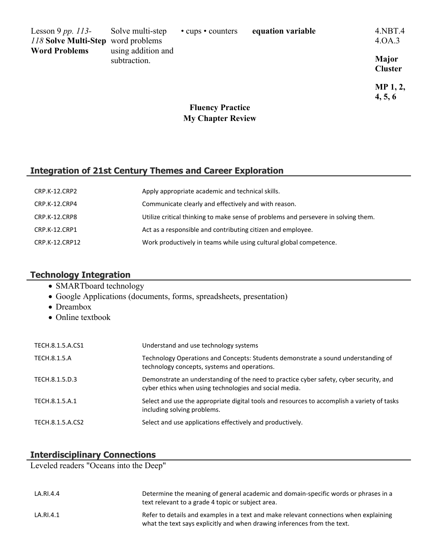| Lesson 9 pp. $113-$                | Solve multi-step                   | • cups • counters | equation variable | $4.$ NBT $.4$           |
|------------------------------------|------------------------------------|-------------------|-------------------|-------------------------|
| 118 Solve Multi-Step word problems |                                    |                   |                   | 4 QA 3                  |
| <b>Word Problems</b>               | using addition and<br>subtraction. |                   |                   | Major<br><b>Cluster</b> |

**MP 1, 2, 4, 5, 6**

# **Fluency Practice My Chapter Review**

#### **Integration of 21st Century Themes and Career Exploration**

| CRP.K-12.CRP2  | Apply appropriate academic and technical skills.                                   |
|----------------|------------------------------------------------------------------------------------|
| CRP.K-12.CRP4  | Communicate clearly and effectively and with reason.                               |
| CRP.K-12.CRP8  | Utilize critical thinking to make sense of problems and persevere in solving them. |
| CRP.K-12.CRP1  | Act as a responsible and contributing citizen and employee.                        |
| CRP.K-12.CRP12 | Work productively in teams while using cultural global competence.                 |

## **Technology Integration**

- SMARTboard technology
- Google Applications (documents, forms, spreadsheets, presentation)
- Dreambox
- Online textbook

| TECH.8.1.5.A.CS1 | Understand and use technology systems                                                                                                            |
|------------------|--------------------------------------------------------------------------------------------------------------------------------------------------|
| TECH.8.1.5.A     | Technology Operations and Concepts: Students demonstrate a sound understanding of<br>technology concepts, systems and operations.                |
| TECH.8.1.5.D.3   | Demonstrate an understanding of the need to practice cyber safety, cyber security, and<br>cyber ethics when using technologies and social media. |
| TECH.8.1.5.A.1   | Select and use the appropriate digital tools and resources to accomplish a variety of tasks<br>including solving problems.                       |
| TECH.8.1.5.A.CS2 | Select and use applications effectively and productively.                                                                                        |

## **Interdisciplinary Connections**

Leveled readers "Oceans into the Deep"

| LA.RI.4.4 | Determine the meaning of general academic and domain-specific words or phrases in a<br>text relevant to a grade 4 topic or subject area.                          |
|-----------|-------------------------------------------------------------------------------------------------------------------------------------------------------------------|
| LA.RI.4.1 | Refer to details and examples in a text and make relevant connections when explaining<br>what the text says explicitly and when drawing inferences from the text. |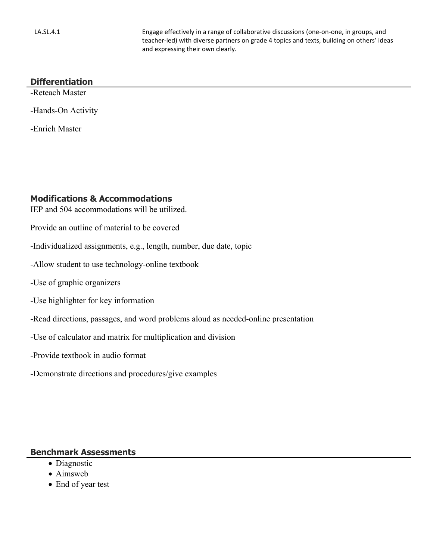LA.SL.4.1 Engage effectively in a range of collaborative discussions (one-on-one, in groups, and teacher-led) with diverse partners on grade 4 topics and texts, building on others' ideas and expressing their own clearly.

#### **Differentiation**

-Reteach Master

-Hands-On Activity

-Enrich Master

#### **Modifications & Accommodations**

- IEP and 504 accommodations will be utilized.
- Provide an outline of material to be covered
- -Individualized assignments, e.g., length, number, due date, topic
- -Allow student to use technology-online textbook
- -Use of graphic organizers
- -Use highlighter for key information
- -Read directions, passages, and word problems aloud as needed-online presentation
- -Use of calculator and matrix for multiplication and division
- -Provide textbook in audio format
- -Demonstrate directions and procedures/give examples

#### **Benchmark Assessments**

- Diagnostic
- Aimsweb
- End of year test